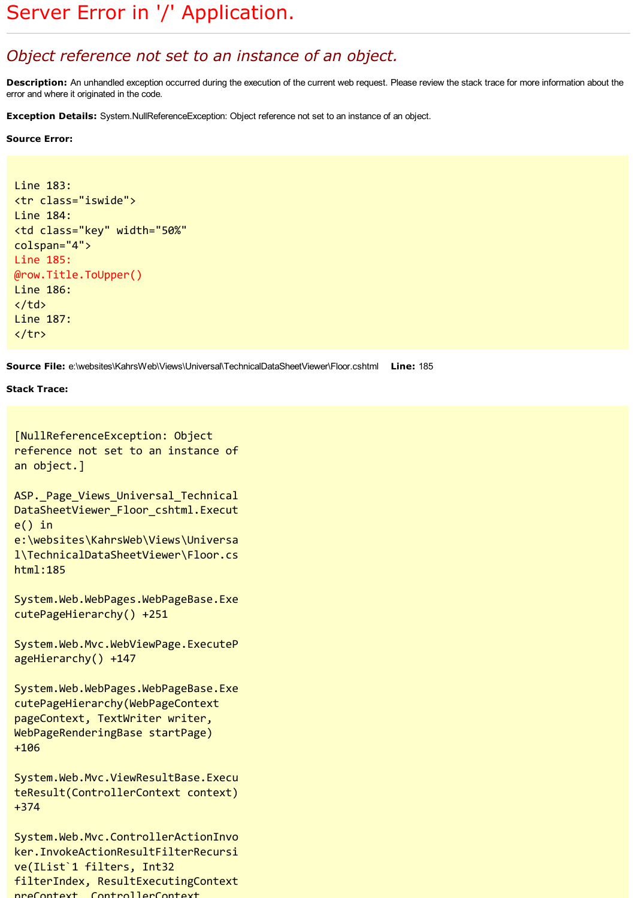## Object reference not set to an instance of an object.

Description: An unhandled exception occurred during the execution of the current web request. Please review the stack trace for more information about the error and where it originated in the code.

Exception Details: System.NullReferenceException: Object reference not set to an instance of an object.

## Source Error:

```
Line 183:
<tr class="iswide">
Line 184:
<td class="key" width="50%"
colspan="4">
Line 185:
@row.Title.ToUpper()
Line 186:
\langle/td>
Line 187:
</tr>
```
Source File: e:\websites\KahrsWeb\Views\Universal\TechnicalDataSheetViewer\Floor.cshtml Line: 185

## Stack Trace:

```
[NullReferenceException: Object
reference not set to an instance of
an object.]
ASP. Page Views Universal Technical
DataSheetViewer_Floor_cshtml.Execut
e() in
e:\websites\KahrsWeb\Views\Universa
l\TechnicalDataSheetViewer\Floor.cs
html:185
System.Web.WebPages.WebPageBase.Exe
cutePageHierarchy() +251
System.Web.Mvc.WebViewPage.ExecuteP
ageHierarchy() +147
System.Web.WebPages.WebPageBase.Exe
cutePageHierarchy(WebPageContext
pageContext, TextWriter writer,
WebPageRenderingBase startPage)
+106
System.Web.Mvc.ViewResultBase.Execu
teResult(ControllerContext context)
+374
System.Web.Mvc.ControllerActionInvo
ker.InvokeActionResultFilterRecursi
ve(IList`1 filters, Int32
filterIndex, ResultExecutingContext
```
preContext, ControllerContext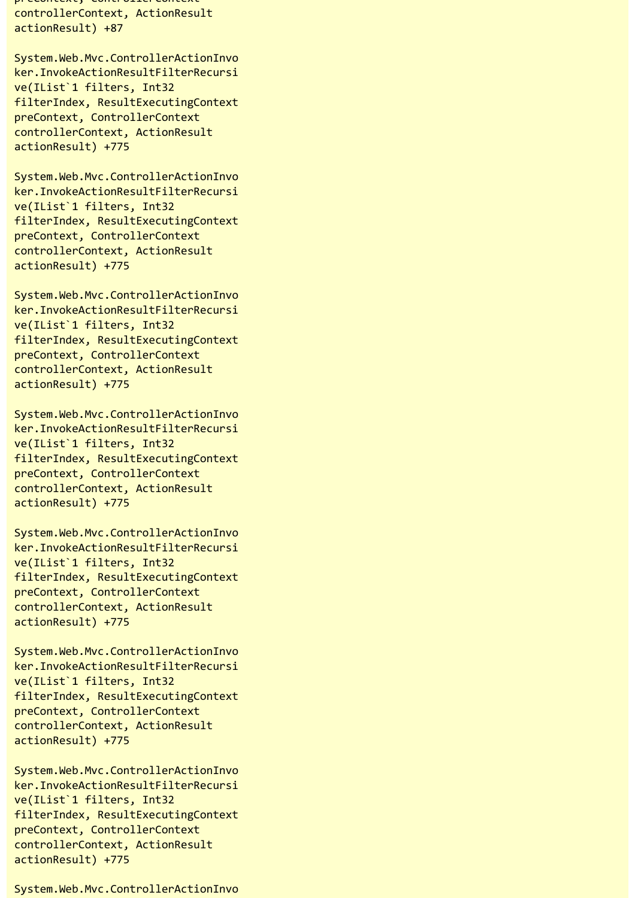precontext, controllercontext controllerContext, ActionResult actionResult) +87

System.Web.Mvc.ControllerActionInvo ker.InvokeActionResultFilterRecursi ve(IList`1 filters, Int32 filterIndex, ResultExecutingContext preContext, ControllerContext controllerContext, ActionResult actionResult) +775

System.Web.Mvc.ControllerActionInvo ker.InvokeActionResultFilterRecursi ve(IList`1 filters, Int32 filterIndex, ResultExecutingContext preContext, ControllerContext controllerContext, ActionResult actionResult) +775

System.Web.Mvc.ControllerActionInvo ker.InvokeActionResultFilterRecursi ve(IList`1 filters, Int32 filterIndex, ResultExecutingContext preContext, ControllerContext controllerContext, ActionResult actionResult) +775

System.Web.Mvc.ControllerActionInvo ker.InvokeActionResultFilterRecursi ve(IList`1 filters, Int32 filterIndex, ResultExecutingContext preContext, ControllerContext controllerContext, ActionResult actionResult) +775

System.Web.Mvc.ControllerActionInvo ker.InvokeActionResultFilterRecursi ve(IList`1 filters, Int32 filterIndex, ResultExecutingContext preContext, ControllerContext controllerContext, ActionResult actionResult) +775

System.Web.Mvc.ControllerActionInvo ker.InvokeActionResultFilterRecursi ve(IList`1 filters, Int32 filterIndex, ResultExecutingContext preContext, ControllerContext controllerContext, ActionResult actionResult) +775

System.Web.Mvc.ControllerActionInvo ker.InvokeActionResultFilterRecursi ve(IList`1 filters, Int32 filterIndex, ResultExecutingContext preContext, ControllerContext controllerContext, ActionResult actionResult) +775

System.Web.Mvc.ControllerActionInvo